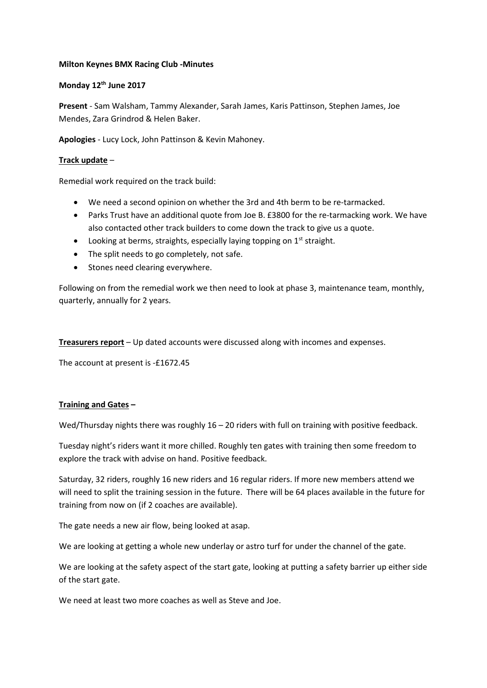## **Milton Keynes BMX Racing Club -Minutes**

## **Monday 12th June 2017**

**Present** - Sam Walsham, Tammy Alexander, Sarah James, Karis Pattinson, Stephen James, Joe Mendes, Zara Grindrod & Helen Baker.

**Apologies** - Lucy Lock, John Pattinson & Kevin Mahoney.

## **Track update** –

Remedial work required on the track build:

- We need a second opinion on whether the 3rd and 4th berm to be re-tarmacked.
- Parks Trust have an additional quote from Joe B. £3800 for the re-tarmacking work. We have also contacted other track builders to come down the track to give us a quote.
- Looking at berms, straights, especially laying topping on  $1<sup>st</sup>$  straight.
- The split needs to go completely, not safe.
- Stones need clearing everywhere.

Following on from the remedial work we then need to look at phase 3, maintenance team, monthly, quarterly, annually for 2 years.

**Treasurers report** – Up dated accounts were discussed along with incomes and expenses.

The account at present is -£1672.45

## **Training and Gates –**

Wed/Thursday nights there was roughly 16 - 20 riders with full on training with positive feedback.

Tuesday night's riders want it more chilled. Roughly ten gates with training then some freedom to explore the track with advise on hand. Positive feedback.

Saturday, 32 riders, roughly 16 new riders and 16 regular riders. If more new members attend we will need to split the training session in the future. There will be 64 places available in the future for training from now on (if 2 coaches are available).

The gate needs a new air flow, being looked at asap.

We are looking at getting a whole new underlay or astro turf for under the channel of the gate.

We are looking at the safety aspect of the start gate, looking at putting a safety barrier up either side of the start gate.

We need at least two more coaches as well as Steve and Joe.